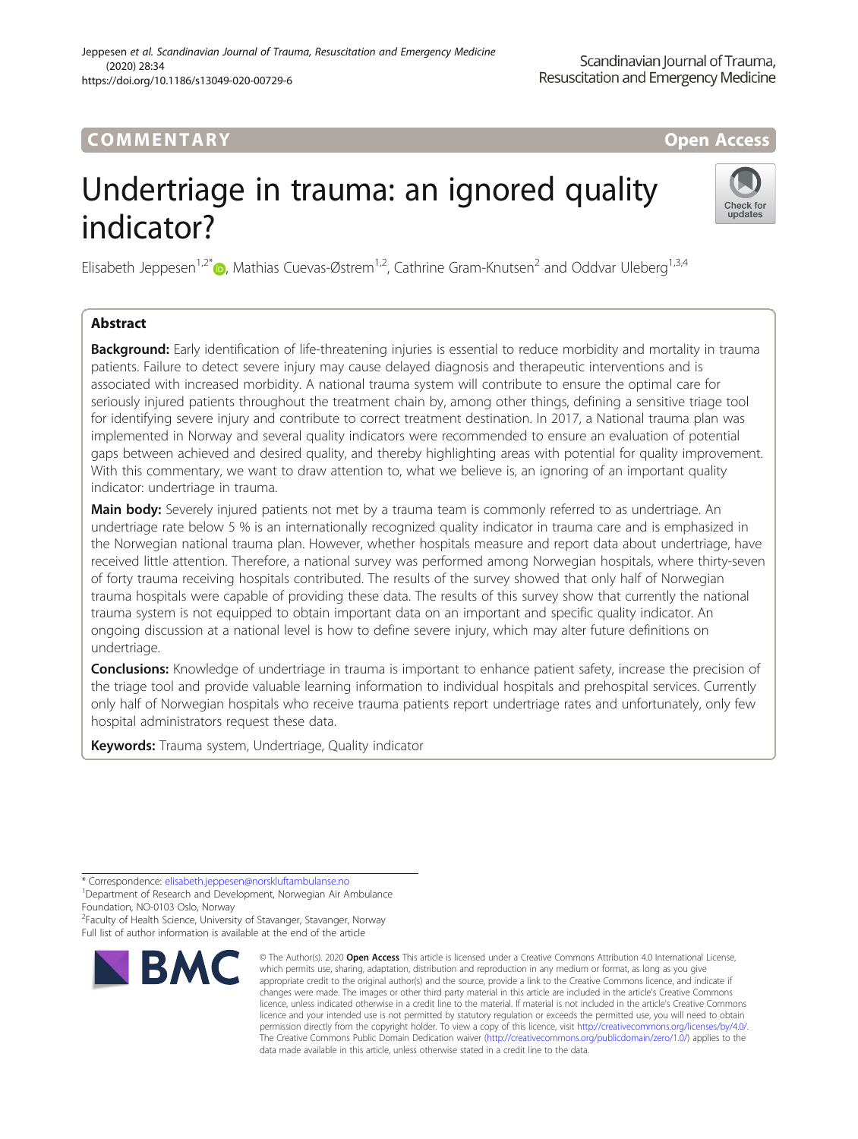## COMM EN TARY Open Access

# Undertriage in trauma: an ignored quality indicator?



Elisabeth Jeppesen<sup>1[,](http://orcid.org/0000-0001-5949-9377)2\*</sup>  $\bullet$ , Mathias Cuevas-Østrem<sup>1,2</sup>, Cathrine Gram-Knutsen<sup>2</sup> and Oddvar Uleberg<sup>1,3,4</sup>

### Abstract

**Background:** Early identification of life-threatening injuries is essential to reduce morbidity and mortality in trauma patients. Failure to detect severe injury may cause delayed diagnosis and therapeutic interventions and is associated with increased morbidity. A national trauma system will contribute to ensure the optimal care for seriously injured patients throughout the treatment chain by, among other things, defining a sensitive triage tool for identifying severe injury and contribute to correct treatment destination. In 2017, a National trauma plan was implemented in Norway and several quality indicators were recommended to ensure an evaluation of potential gaps between achieved and desired quality, and thereby highlighting areas with potential for quality improvement. With this commentary, we want to draw attention to, what we believe is, an ignoring of an important quality indicator: undertriage in trauma.

Main body: Severely injured patients not met by a trauma team is commonly referred to as undertriage. An undertriage rate below 5 % is an internationally recognized quality indicator in trauma care and is emphasized in the Norwegian national trauma plan. However, whether hospitals measure and report data about undertriage, have received little attention. Therefore, a national survey was performed among Norwegian hospitals, where thirty-seven of forty trauma receiving hospitals contributed. The results of the survey showed that only half of Norwegian trauma hospitals were capable of providing these data. The results of this survey show that currently the national trauma system is not equipped to obtain important data on an important and specific quality indicator. An ongoing discussion at a national level is how to define severe injury, which may alter future definitions on undertriage.

Conclusions: Knowledge of undertriage in trauma is important to enhance patient safety, increase the precision of the triage tool and provide valuable learning information to individual hospitals and prehospital services. Currently only half of Norwegian hospitals who receive trauma patients report undertriage rates and unfortunately, only few hospital administrators request these data.

Keywords: Trauma system, Undertriage, Quality indicator

<sup>2</sup> Faculty of Health Science, University of Stavanger, Stavanger, Norway Full list of author information is available at the end of the article



<sup>©</sup> The Author(s), 2020 **Open Access** This article is licensed under a Creative Commons Attribution 4.0 International License, which permits use, sharing, adaptation, distribution and reproduction in any medium or format, as long as you give appropriate credit to the original author(s) and the source, provide a link to the Creative Commons licence, and indicate if changes were made. The images or other third party material in this article are included in the article's Creative Commons licence, unless indicated otherwise in a credit line to the material. If material is not included in the article's Creative Commons licence and your intended use is not permitted by statutory regulation or exceeds the permitted use, you will need to obtain permission directly from the copyright holder. To view a copy of this licence, visit [http://creativecommons.org/licenses/by/4.0/.](http://creativecommons.org/licenses/by/4.0/) The Creative Commons Public Domain Dedication waiver [\(http://creativecommons.org/publicdomain/zero/1.0/](http://creativecommons.org/publicdomain/zero/1.0/)) applies to the data made available in this article, unless otherwise stated in a credit line to the data.

<sup>\*</sup> Correspondence: [elisabeth.jeppesen@norskluftambulanse.no](mailto:elisabeth.jeppesen@norskluftambulanse.no) <sup>1</sup>

<sup>&</sup>lt;sup>1</sup>Department of Research and Development, Norwegian Air Ambulance Foundation, NO-0103 Oslo, Norway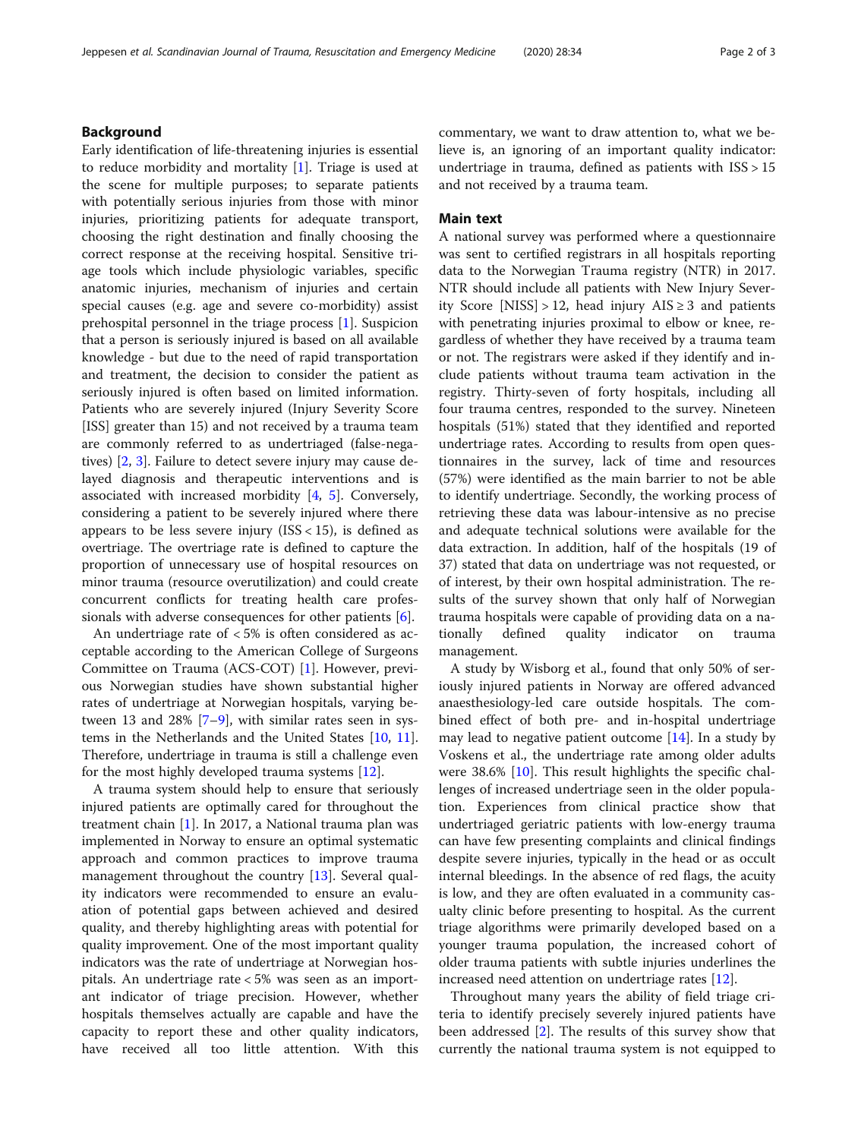#### Background

Early identification of life-threatening injuries is essential to reduce morbidity and mortality [\[1](#page-2-0)]. Triage is used at the scene for multiple purposes; to separate patients with potentially serious injuries from those with minor injuries, prioritizing patients for adequate transport, choosing the right destination and finally choosing the correct response at the receiving hospital. Sensitive triage tools which include physiologic variables, specific anatomic injuries, mechanism of injuries and certain special causes (e.g. age and severe co-morbidity) assist prehospital personnel in the triage process [[1\]](#page-2-0). Suspicion that a person is seriously injured is based on all available knowledge - but due to the need of rapid transportation and treatment, the decision to consider the patient as seriously injured is often based on limited information. Patients who are severely injured (Injury Severity Score [ISS] greater than 15) and not received by a trauma team are commonly referred to as undertriaged (false-negatives) [\[2](#page-2-0), [3](#page-2-0)]. Failure to detect severe injury may cause delayed diagnosis and therapeutic interventions and is associated with increased morbidity [[4](#page-2-0), [5](#page-2-0)]. Conversely, considering a patient to be severely injured where there appears to be less severe injury  $(ISS < 15)$ , is defined as overtriage. The overtriage rate is defined to capture the proportion of unnecessary use of hospital resources on minor trauma (resource overutilization) and could create concurrent conflicts for treating health care professionals with adverse consequences for other patients  $[6]$  $[6]$ .

An undertriage rate of < 5% is often considered as acceptable according to the American College of Surgeons Committee on Trauma (ACS-COT) [\[1](#page-2-0)]. However, previous Norwegian studies have shown substantial higher rates of undertriage at Norwegian hospitals, varying between 13 and 28% [[7](#page-2-0)–[9](#page-2-0)], with similar rates seen in systems in the Netherlands and the United States [[10,](#page-2-0) [11](#page-2-0)]. Therefore, undertriage in trauma is still a challenge even for the most highly developed trauma systems [[12\]](#page-2-0).

A trauma system should help to ensure that seriously injured patients are optimally cared for throughout the treatment chain [[1\]](#page-2-0). In 2017, a National trauma plan was implemented in Norway to ensure an optimal systematic approach and common practices to improve trauma management throughout the country [[13\]](#page-2-0). Several quality indicators were recommended to ensure an evaluation of potential gaps between achieved and desired quality, and thereby highlighting areas with potential for quality improvement. One of the most important quality indicators was the rate of undertriage at Norwegian hospitals. An undertriage rate < 5% was seen as an important indicator of triage precision. However, whether hospitals themselves actually are capable and have the capacity to report these and other quality indicators, have received all too little attention. With this commentary, we want to draw attention to, what we believe is, an ignoring of an important quality indicator: undertriage in trauma, defined as patients with ISS > 15 and not received by a trauma team.

#### Main text

A national survey was performed where a questionnaire was sent to certified registrars in all hospitals reporting data to the Norwegian Trauma registry (NTR) in 2017. NTR should include all patients with New Injury Severity Score [NISS] > 12, head injury  $AIS \geq 3$  and patients with penetrating injuries proximal to elbow or knee, regardless of whether they have received by a trauma team or not. The registrars were asked if they identify and include patients without trauma team activation in the registry. Thirty-seven of forty hospitals, including all four trauma centres, responded to the survey. Nineteen hospitals (51%) stated that they identified and reported undertriage rates. According to results from open questionnaires in the survey, lack of time and resources (57%) were identified as the main barrier to not be able to identify undertriage. Secondly, the working process of retrieving these data was labour-intensive as no precise and adequate technical solutions were available for the data extraction. In addition, half of the hospitals (19 of 37) stated that data on undertriage was not requested, or of interest, by their own hospital administration. The results of the survey shown that only half of Norwegian trauma hospitals were capable of providing data on a nationally defined quality indicator on trauma management.

A study by Wisborg et al., found that only 50% of seriously injured patients in Norway are offered advanced anaesthesiology-led care outside hospitals. The combined effect of both pre- and in-hospital undertriage may lead to negative patient outcome [\[14](#page-2-0)]. In a study by Voskens et al., the undertriage rate among older adults were 38.6% [[10\]](#page-2-0). This result highlights the specific challenges of increased undertriage seen in the older population. Experiences from clinical practice show that undertriaged geriatric patients with low-energy trauma can have few presenting complaints and clinical findings despite severe injuries, typically in the head or as occult internal bleedings. In the absence of red flags, the acuity is low, and they are often evaluated in a community casualty clinic before presenting to hospital. As the current triage algorithms were primarily developed based on a younger trauma population, the increased cohort of older trauma patients with subtle injuries underlines the increased need attention on undertriage rates [[12\]](#page-2-0).

Throughout many years the ability of field triage criteria to identify precisely severely injured patients have been addressed [\[2](#page-2-0)]. The results of this survey show that currently the national trauma system is not equipped to